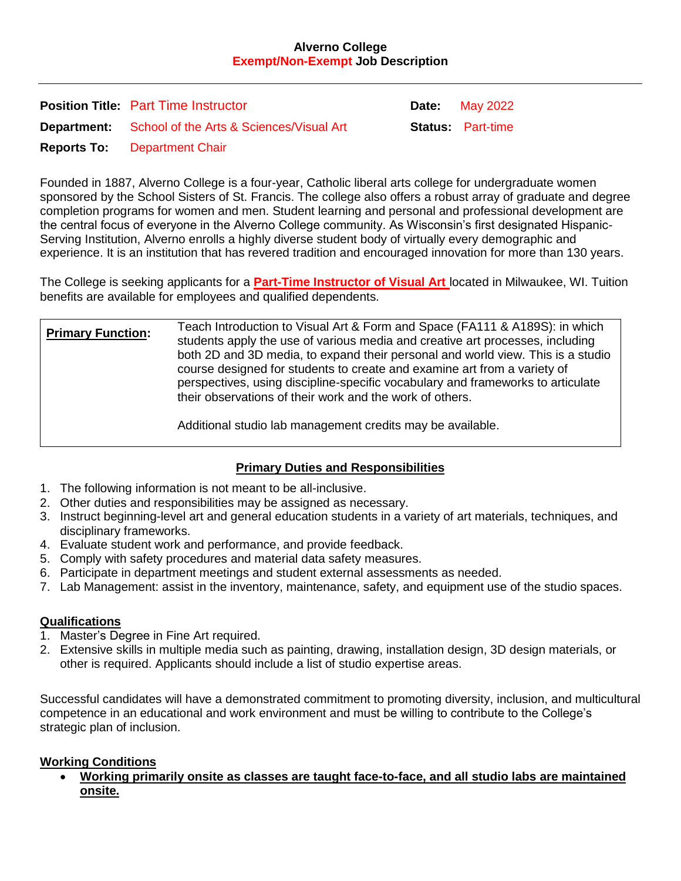#### **Alverno College Exempt/Non-Exempt Job Description**

| <b>Position Title: Part Time Instructor</b>                 | <b>Date:</b> May 2022   |
|-------------------------------------------------------------|-------------------------|
| <b>Department:</b> School of the Arts & Sciences/Visual Art | <b>Status</b> Part-time |
| <b>Reports To:</b> Department Chair                         |                         |

Founded in 1887, Alverno College is a four-year, Catholic liberal arts college for undergraduate women sponsored by the School Sisters of St. Francis. The college also offers a robust array of graduate and degree completion programs for women and men. Student learning and personal and professional development are the central focus of everyone in the Alverno College community. As Wisconsin's first designated Hispanic-Serving Institution, Alverno enrolls a highly diverse student body of virtually every demographic and experience. It is an institution that has revered tradition and encouraged innovation for more than 130 years.

The College is seeking applicants for a **Part-Time Instructor of Visual Art** located in Milwaukee, WI. Tuition benefits are available for employees and qualified dependents.

| <b>Primary Function:</b> | Teach Introduction to Visual Art & Form and Space (FA111 & A189S): in which<br>students apply the use of various media and creative art processes, including<br>both 2D and 3D media, to expand their personal and world view. This is a studio<br>course designed for students to create and examine art from a variety of<br>perspectives, using discipline-specific vocabulary and frameworks to articulate<br>their observations of their work and the work of others. |
|--------------------------|----------------------------------------------------------------------------------------------------------------------------------------------------------------------------------------------------------------------------------------------------------------------------------------------------------------------------------------------------------------------------------------------------------------------------------------------------------------------------|
|                          | A deliberate legislab mengenengan tersebut providence deletrikle A                                                                                                                                                                                                                                                                                                                                                                                                         |

Additional studio lab management credits may be available.

## **Primary Duties and Responsibilities**

- 1. The following information is not meant to be all-inclusive.
- 2. Other duties and responsibilities may be assigned as necessary.
- 3. Instruct beginning-level art and general education students in a variety of art materials, techniques, and disciplinary frameworks.
- 4. Evaluate student work and performance, and provide feedback.
- 5. Comply with safety procedures and material data safety measures.
- 6. Participate in department meetings and student external assessments as needed.
- 7. Lab Management: assist in the inventory, maintenance, safety, and equipment use of the studio spaces.

### **Qualifications**

- 1. Master's Degree in Fine Art required.
- 2. Extensive skills in multiple media such as painting, drawing, installation design, 3D design materials, or other is required. Applicants should include a list of studio expertise areas.

Successful candidates will have a demonstrated commitment to promoting diversity, inclusion, and multicultural competence in an educational and work environment and must be willing to contribute to the College's strategic plan of inclusion.

#### **Working Conditions**

 **Working primarily onsite as classes are taught face-to-face, and all studio labs are maintained onsite.**